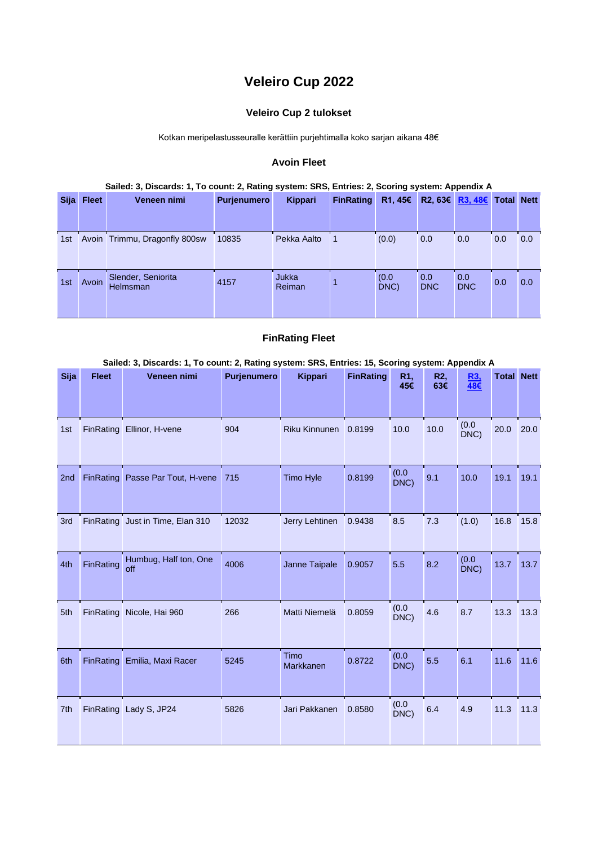# **Veleiro Cup 2022**

## **Veleiro Cup 2 tulokset**

Kotkan meripelastusseuralle kerättiin purjehtimalla koko sarjan aikana 48€

### **Avoin Fleet**

#### **Sailed: 3, Discards: 1, To count: 2, Rating system: SRS, Entries: 2, Scoring system: Appendix A**

| <b>Sija</b> | <b>Fleet</b> | Veneen nimi                    | <b>Purjenumero</b> | Kippari         | <b>FinRating</b> | R1, 45€       |                   | R2, 63€ R3, 48€ Total Nett |     |     |
|-------------|--------------|--------------------------------|--------------------|-----------------|------------------|---------------|-------------------|----------------------------|-----|-----|
|             |              |                                |                    |                 |                  |               |                   |                            |     |     |
| 1st         |              | Avoin Trimmu, Dragonfly 800sw  | 10835              | Pekka Aalto     |                  | (0.0)         | 0.0               | 0.0                        | 0.0 | 0.0 |
| 1st         | Avoin        | Slender, Seniorita<br>Helmsman | 4157               | Jukka<br>Reiman |                  | (0.0)<br>DNC) | 0.0<br><b>DNC</b> | 0.0<br><b>DNC</b>          | 0.0 | 0.0 |

#### **FinRating Fleet**

#### **Sailed: 3, Discards: 1, To count: 2, Rating system: SRS, Entries: 15, Scoring system: Appendix A**

| <b>Sija</b>     | <b>Fleet</b>     | Veneen nimi                      | Purjenumero | <b>Kippari</b>       | <b>FinRating</b> | R <sub>1</sub> ,<br>45€ | R2,<br>63€ | R <sub>3</sub><br>48€ | <b>Total Nett</b> |      |
|-----------------|------------------|----------------------------------|-------------|----------------------|------------------|-------------------------|------------|-----------------------|-------------------|------|
| 1st             | FinRating        | Ellinor, H-vene                  | 904         | <b>Riku Kinnunen</b> | 0.8199           | 10.0                    | 10.0       | (0.0)<br>DNC)         | 20.0              | 20.0 |
| 2 <sub>nd</sub> | FinRating        | Passe Par Tout, H-vene           | 715         | <b>Timo Hyle</b>     | 0.8199           | (0.0)<br>DNC)           | 9.1        | 10.0                  | 19.1              | 19.1 |
| 3rd             |                  | FinRating Just in Time, Elan 310 | 12032       | Jerry Lehtinen       | 0.9438           | 8.5                     | 7.3        | (1.0)                 | 16.8              | 15.8 |
| 4th             | FinRating        | Humbug, Half ton, One<br>off     | 4006        | Janne Taipale        | 0.9057           | 5.5                     | 8.2        | (0.0)<br>DNC)         | 13.7              | 13.7 |
| 5th             |                  | FinRating Nicole, Hai 960        | 266         | Matti Niemelä        | 0.8059           | (0.0)<br>DNC)           | 4.6        | 8.7                   | 13.3              | 13.3 |
| 6th             | <b>FinRating</b> | Emilia, Maxi Racer               | 5245        | Timo<br>Markkanen    | 0.8722           | (0.0)<br>DNC)           | 5.5        | 6.1                   | 11.6              | 11.6 |
| 7th             |                  | FinRating Lady S, JP24           | 5826        | Jari Pakkanen        | 0.8580           | (0.0)<br>DNC)           | 6.4        | 4.9                   | 11.3              | 11.3 |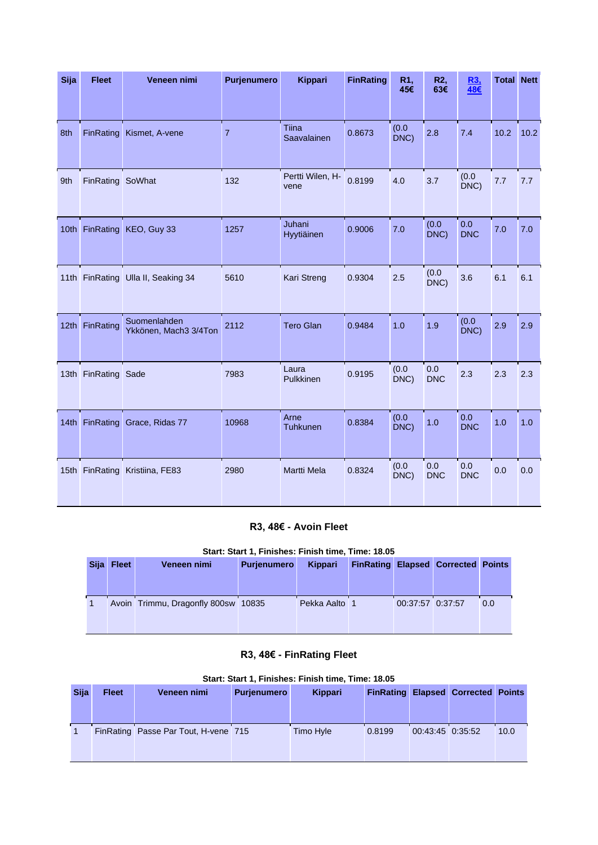| Sija | <b>Fleet</b>     | Veneen nimi                           | Purjenumero    | <b>Kippari</b>           | <b>FinRating</b> | R1,<br>45€    | R2,<br>63€        | R <sub>3</sub><br>48€ | <b>Total Nett</b> |      |
|------|------------------|---------------------------------------|----------------|--------------------------|------------------|---------------|-------------------|-----------------------|-------------------|------|
|      |                  |                                       |                |                          |                  |               |                   |                       |                   |      |
| 8th  | <b>FinRating</b> | Kismet, A-vene                        | $\overline{7}$ | Tiina<br>Saavalainen     | 0.8673           | (0.0)<br>DNC) | 2.8               | 7.4                   | 10.2              | 10.2 |
| 9th  | FinRating        | SoWhat                                | 132            | Pertti Wilen, H-<br>vene | 0.8199           | 4.0           | 3.7               | (0.0)<br>DNC)         | 7.7               | 7.7  |
|      | 10th FinRating   | KEO, Guy 33                           | 1257           | Juhani<br>Hyytiäinen     | 0.9006           | 7.0           | (0.0)<br>DNC)     | 0.0<br><b>DNC</b>     | 7.0               | 7.0  |
|      |                  | 11th FinRating Ulla II, Seaking 34    | 5610           | Kari Streng              | 0.9304           | 2.5           | (0.0)<br>DNC)     | 3.6                   | 6.1               | 6.1  |
| 12th | FinRating        | Suomenlahden<br>Ykkönen, Mach3 3/4Ton | 2112           | <b>Tero Glan</b>         | 0.9484           | 1.0           | 1.9               | (0.0)<br>DNC)         | 2.9               | 2.9  |
|      | 13th FinRating   | Sade                                  | 7983           | Laura<br>Pulkkinen       | 0.9195           | (0.0)<br>DNC) | 0.0<br><b>DNC</b> | 2.3                   | 2.3               | 2.3  |
|      | 14th FinRating   | Grace, Ridas 77                       | 10968          | Arne<br>Tuhkunen         | 0.8384           | (0.0)<br>DNC) | 1.0               | 0.0<br><b>DNC</b>     | 1.0               | 1.0  |
|      | 15th FinRating   | Kristiina, FE83                       | 2980           | <b>Martti Mela</b>       | 0.8324           | (0.0)<br>DNC) | 0.0<br><b>DNC</b> | 0.0<br><b>DNC</b>     | 0.0               | 0.0  |

# **R3, 48€ - Avoin Fleet**

|  | Start: Start 1, Finishes: Finish time, Time: 18.05 |  |  |
|--|----------------------------------------------------|--|--|
|  |                                                    |  |  |

| Sija | <b>Fleet</b> | Veneen nimi                         | <b>Purjenumero</b> | Kippari       |                  | <b>FinRating Elapsed Corrected Points</b> |     |
|------|--------------|-------------------------------------|--------------------|---------------|------------------|-------------------------------------------|-----|
|      |              | Avoin Trimmu, Dragonfly 800sw 10835 |                    | Pekka Aalto 1 | 00:37:57 0:37:57 |                                           | 0.0 |

# **R3, 48€ - FinRating Fleet**

| <b>Sija</b> | <b>Fleet</b> | Veneen nimi                          | <b>Purjenumero</b> | Kippari   |        |                  | <b>FinRating Elapsed Corrected Points</b> |      |
|-------------|--------------|--------------------------------------|--------------------|-----------|--------|------------------|-------------------------------------------|------|
|             |              |                                      |                    |           |        |                  |                                           |      |
|             |              |                                      |                    |           |        |                  |                                           |      |
|             |              |                                      |                    |           |        |                  |                                           |      |
|             |              | FinRating Passe Par Tout, H-vene 715 |                    | Timo Hyle | 0.8199 | 00:43:45 0:35:52 |                                           | 10.0 |
|             |              |                                      |                    |           |        |                  |                                           |      |
|             |              |                                      |                    |           |        |                  |                                           |      |
|             |              |                                      |                    |           |        |                  |                                           |      |

### **Start: Start 1, Finishes: Finish time, Time: 18.05**